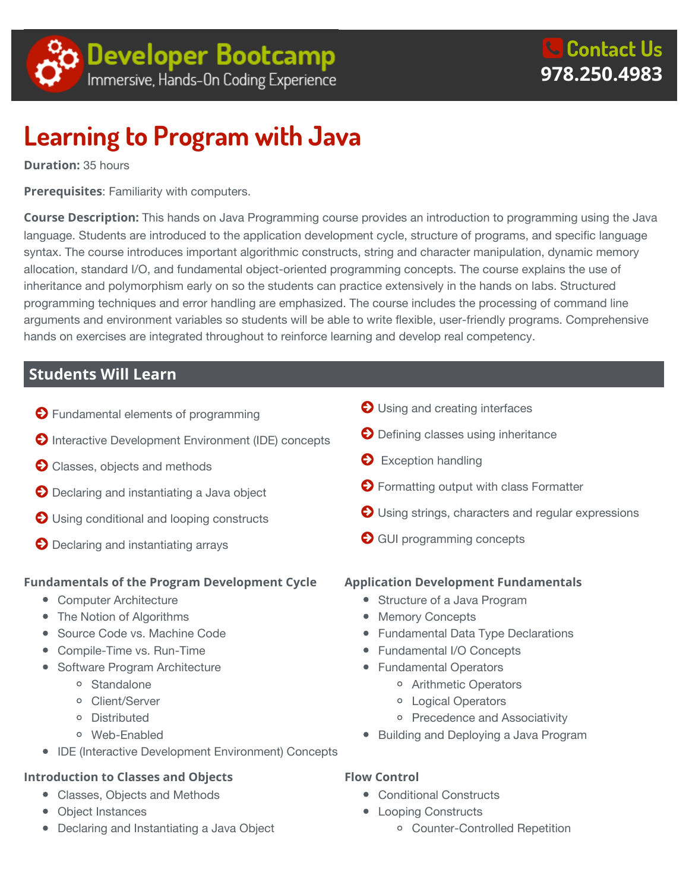

# **Learning to Program with Java**

**Duration:** 35 hours

**Prerequisites**: Familiarity with computers.

**Course Description:** This hands on Java Programming course provides an introduction to programming using the Java language. Students are introduced to the application development cycle, structure of programs, and specific language syntax. The course introduces important algorithmic constructs, string and character manipulation, dynamic memory allocation, standard I/O, and fundamental object-oriented programming concepts. The course explains the use of inheritance and polymorphism early on so the students can practice extensively in the hands on labs. Structured programming techniques and error handling are emphasized. The course includes the processing of command line arguments and environment variables so students will be able to write flexible, user-friendly programs. Comprehensive hands on exercises are integrated throughout to reinforce learning and develop real competency.

# **Students Will Learn**

- **O** Fundamental elements of programming
- **O** Interactive Development Environment (IDE) concepts
- **O** Classes, objects and methods
- **O** Declaring and instantiating a Java object
- $\bigcirc$  Using conditional and looping constructs
- **O** Declaring and instantiating arrays

#### **Fundamentals of the Program Development Cycle**

- Computer Architecture
- The Notion of Algorithms
- Source Code vs. Machine Code
- Compile-Time vs. Run-Time
- Software Program Architecture
	- o Standalone
	- Client/Server
	- Distributed
	- Web-Enabled
- IDE (Interactive Development Environment) Concepts

#### **Introduction to Classes and Objects**

- Classes, Objects and Methods
- Object Instances
- Declaring and Instantiating a Java Object
- $\bigcirc$  Using and creating interfaces
- **O** Defining classes using inheritance
- **Exception handling**
- **O** Formatting output with class Formatter
- O Using strings, characters and regular expressions
- **GUI programming concepts**

#### **Application Development Fundamentals**

- Structure of a Java Program
- Memory Concepts
- Fundamental Data Type Declarations
- Fundamental I/O Concepts
- Fundamental Operators
	- Arithmetic Operators
	- Logical Operators
	- o Precedence and Associativity
- Building and Deploying a Java Program
- **Flow Control**
	- Conditional Constructs
	- Looping Constructs
		- Counter-Controlled Repetition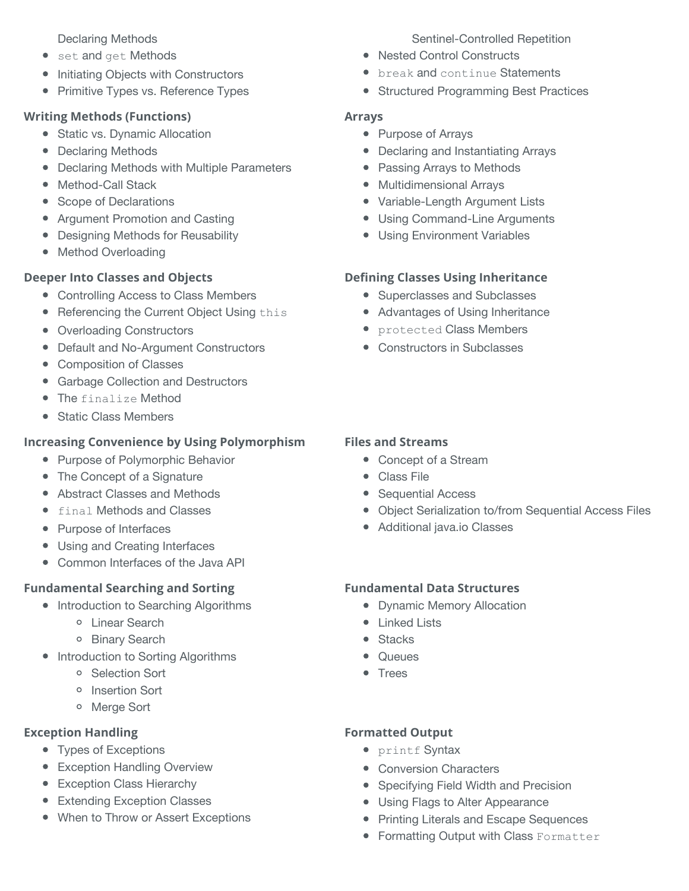Declaring Methods

- set and get Methods
- Initiating Objects with Constructors
- Primitive Types vs. Reference Types

#### **Writing Methods (Functions)**

- Static vs. Dynamic Allocation
- Declaring Methods
- Declaring Methods with Multiple Parameters
- Method-Call Stack
- Scope of Declarations
- Argument Promotion and Casting
- Designing Methods for Reusability
- Method Overloading

# **Deeper Into Classes and Objects**

- Controlling Access to Class Members
- Referencing the Current Object Using this
- Overloading Constructors
- Default and No-Argument Constructors
- Composition of Classes
- **Garbage Collection and Destructors**
- The finalize Method
- Static Class Members

# **Increasing Convenience by Using Polymorphism**

- Purpose of Polymorphic Behavior
- The Concept of a Signature
- Abstract Classes and Methods
- **•** final Methods and Classes
- Purpose of Interfaces
- Using and Creating Interfaces
- Common Interfaces of the Java API

# **Fundamental Searching and Sorting**

- Introduction to Searching Algorithms
	- Linear Search
	- o Binary Search
- Introduction to Sorting Algorithms
	- o Selection Sort
	- o Insertion Sort
	- Merge Sort

# **Exception Handling**

- Types of Exceptions
- **•** Exception Handling Overview
- Exception Class Hierarchy
- Extending Exception Classes
- When to Throw or Assert Exceptions

#### Sentinel-Controlled Repetition

- Nested Control Constructs
- **•** break and continue Statements
- Structured Programming Best Practices

#### **Arrays**

- Purpose of Arrays
- Declaring and Instantiating Arrays
- Passing Arrays to Methods
- Multidimensional Arrays
- Variable-Length Argument Lists
- Using Command-Line Arguments
- Using Environment Variables

# **Defining Classes Using Inheritance**

- Superclasses and Subclasses
- Advantages of Using Inheritance
- protected Class Members
- Constructors in Subclasses

#### **Files and Streams**

- Concept of a Stream
- Class File
- Sequential Access
- Object Serialization to/from Sequential Access Files
- Additional java.io Classes

# **Fundamental Data Structures**

- Dynamic Memory Allocation
- Linked Lists
- Stacks
- Queues
- Trees

# **Formatted Output**

- printf Syntax
- Conversion Characters
- Specifying Field Width and Precision
- Using Flags to Alter Appearance
- Printing Literals and Escape Sequences
- **Formatting Output with Class Formatter**